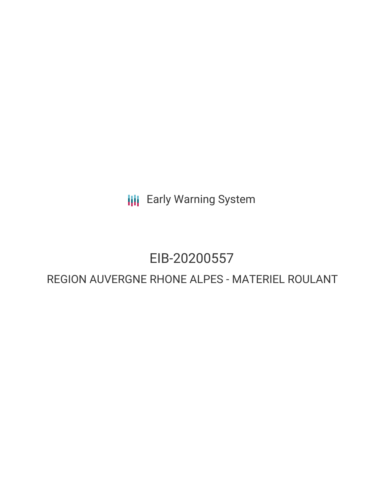**III** Early Warning System

# EIB-20200557

# REGION AUVERGNE RHONE ALPES - MATERIEL ROULANT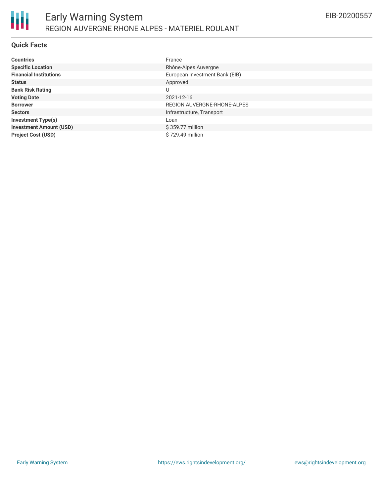

#### **Quick Facts**

| <b>Countries</b>               | France                         |
|--------------------------------|--------------------------------|
| <b>Specific Location</b>       | Rhône-Alpes Auvergne           |
| <b>Financial Institutions</b>  | European Investment Bank (EIB) |
| <b>Status</b>                  | Approved                       |
| <b>Bank Risk Rating</b>        | U                              |
| <b>Voting Date</b>             | 2021-12-16                     |
| <b>Borrower</b>                | REGION AUVERGNE-RHONE-ALPES    |
| <b>Sectors</b>                 | Infrastructure, Transport      |
| <b>Investment Type(s)</b>      | Loan                           |
| <b>Investment Amount (USD)</b> | \$359.77 million               |
| <b>Project Cost (USD)</b>      | \$729.49 million               |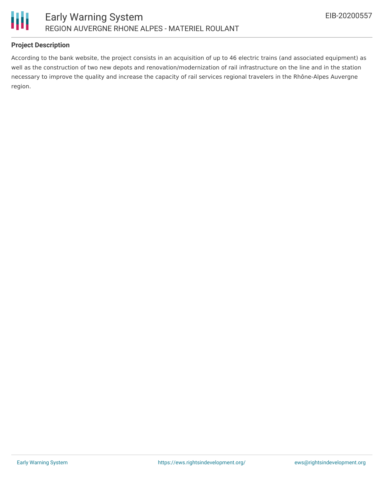

## **Project Description**

According to the bank website, the project consists in an acquisition of up to 46 electric trains (and associated equipment) as well as the construction of two new depots and renovation/modernization of rail infrastructure on the line and in the station necessary to improve the quality and increase the capacity of rail services regional travelers in the Rhône-Alpes Auvergne region.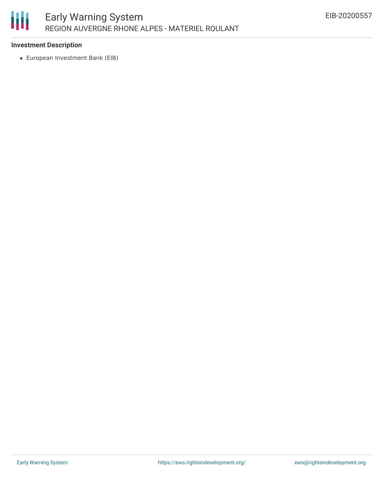

#### **Investment Description**

European Investment Bank (EIB)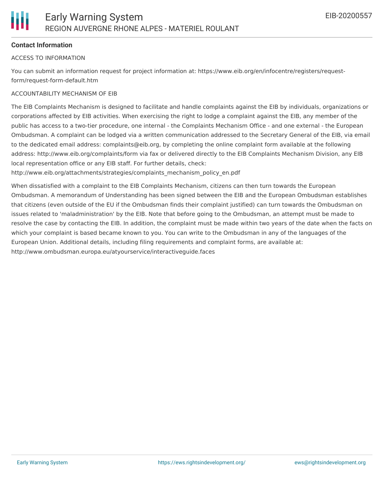#### **Contact Information**

#### ACCESS TO INFORMATION

You can submit an information request for project information at: https://www.eib.org/en/infocentre/registers/requestform/request-form-default.htm

#### ACCOUNTABILITY MECHANISM OF EIB

The EIB Complaints Mechanism is designed to facilitate and handle complaints against the EIB by individuals, organizations or corporations affected by EIB activities. When exercising the right to lodge a complaint against the EIB, any member of the public has access to a two-tier procedure, one internal - the Complaints Mechanism Office - and one external - the European Ombudsman. A complaint can be lodged via a written communication addressed to the Secretary General of the EIB, via email to the dedicated email address: complaints@eib.org, by completing the online complaint form available at the following address: http://www.eib.org/complaints/form via fax or delivered directly to the EIB Complaints Mechanism Division, any EIB local representation office or any EIB staff. For further details, check:

http://www.eib.org/attachments/strategies/complaints\_mechanism\_policy\_en.pdf

When dissatisfied with a complaint to the EIB Complaints Mechanism, citizens can then turn towards the European Ombudsman. A memorandum of Understanding has been signed between the EIB and the European Ombudsman establishes that citizens (even outside of the EU if the Ombudsman finds their complaint justified) can turn towards the Ombudsman on issues related to 'maladministration' by the EIB. Note that before going to the Ombudsman, an attempt must be made to resolve the case by contacting the EIB. In addition, the complaint must be made within two years of the date when the facts on which your complaint is based became known to you. You can write to the Ombudsman in any of the languages of the European Union. Additional details, including filing requirements and complaint forms, are available at: http://www.ombudsman.europa.eu/atyourservice/interactiveguide.faces